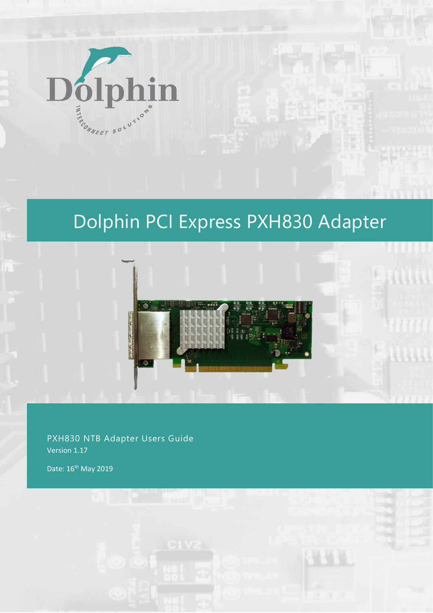

# Dolphin PCI Express PXH830 Adapter



PXH830 NTB Adapter Users Guide Version 1.17

Date: 16<sup>th</sup> May 2019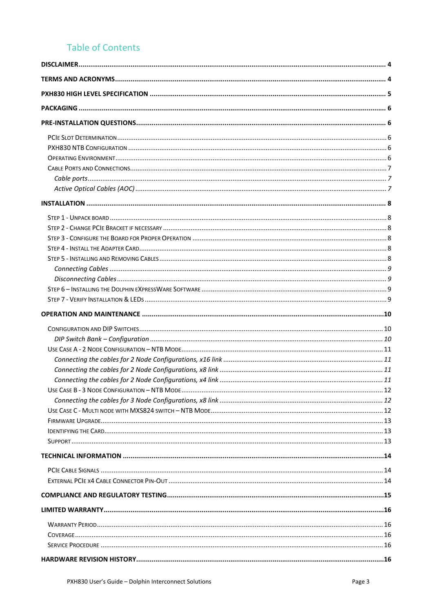# **Table of Contents**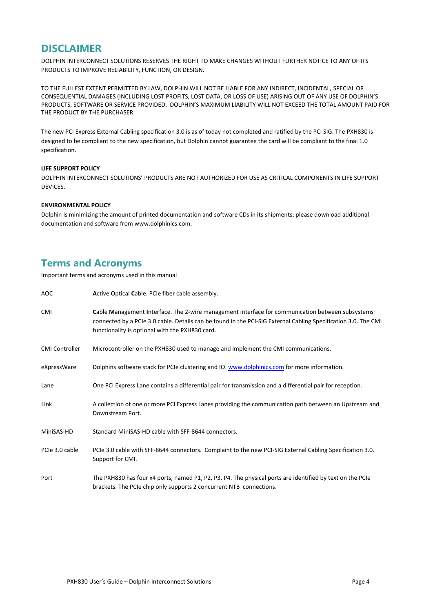### **DISCLAIMER**

DOLPHIN INTERCONNECT SOLUTIONS RESERVES THE RIGHT TO MAKE CHANGES WITHOUT FURTHER NOTICE TO ANY OF ITS PRODUCTS TO IMPROVE RELIABILITY, FUNCTION, OR DESIGN.

TO THE FULLEST EXTENT PERMITTED BY LAW, DOLPHIN WILL NOT BE LIABLE FOR ANY INDIRECT, INCIDENTAL, SPECIAL OR CONSEQUENTIAL DAMAGES (INCLUDING LOST PROFITS, LOST DATA, OR LOSS OF USE) ARISING OUT OF ANY USE OF DOLPHIN'S PRODUCTS, SOFTWARE OR SERVICE PROVIDED. DOLPHIN'S MAXIMUM LIABILITY WILL NOT EXCEED THE TOTAL AMOUNT PAID FOR THE PRODUCT BY THE PURCHASER.

The new PCI Express External Cabling specification 3.0 is as of today not completed and ratified by the PCI SIG. The PXH830 is designed to be compliant to the new specification, but Dolphin cannot guarantee the card will be compliant to the final 1.0 specification.

#### **LIFE SUPPORT POLICY**

DOLPHIN INTERCONNECT SOLUTIONS' PRODUCTS ARE NOT AUTHORIZED FOR USE AS CRITICAL COMPONENTS IN LIFE SUPPORT DEVICES.

### **ENVIRONMENTAL POLICY**

Dolphin is minimizing the amount of printed documentation and software CDs in its shipments; please download additional documentation and software from [www.dolphinics.com.](http://www.dolphinics.com/)

# **Terms and Acronyms**

Important terms and acronyms used in this manual

| AOC                   | Active Optical Cable. PCIe fiber cable assembly.                                                                                                                                                                                                                      |
|-----------------------|-----------------------------------------------------------------------------------------------------------------------------------------------------------------------------------------------------------------------------------------------------------------------|
| <b>CMI</b>            | Cable Management Interface. The 2-wire management interface for communication between subsystems<br>connected by a PCIe 3.0 cable. Details can be found in the PCI-SIG External Cabling Specification 3.0. The CMI<br>functionality is optional with the PXH830 card. |
| <b>CMI Controller</b> | Microcontroller on the PXH830 used to manage and implement the CMI communications.                                                                                                                                                                                    |
| eXpressWare           | Dolphins software stack for PCIe clustering and IO. www.dolphinics.com for more information.                                                                                                                                                                          |
| Lane                  | One PCI Express Lane contains a differential pair for transmission and a differential pair for reception.                                                                                                                                                             |
| Link                  | A collection of one or more PCI Express Lanes providing the communication path between an Upstream and<br>Downstream Port.                                                                                                                                            |
| MiniSAS-HD            | Standard MiniSAS-HD cable with SFF-8644 connectors.                                                                                                                                                                                                                   |
| PCIe 3.0 cable        | PCIe 3.0 cable with SFF-8644 connectors. Complaint to the new PCI-SIG External Cabling Specification 3.0.<br>Support for CMI.                                                                                                                                         |
| Port                  | The PXH830 has four x4 ports, named P1, P2, P3, P4. The physical ports are identified by text on the PCIe<br>brackets. The PCIe chip only supports 2 concurrent NTB connections.                                                                                      |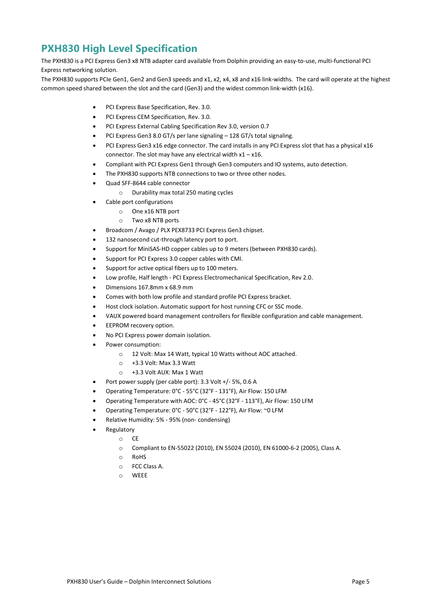# **PXH830 High Level Specification**

The PXH830 is a PCI Express Gen3 x8 NTB adapter card available from Dolphin providing an easy-to-use, multi-functional PCI Express networking solution.

The PXH830 supports PCIe Gen1, Gen2 and Gen3 speeds and x1, x2, x4, x8 and x16 link-widths. The card will operate at the highest common speed shared between the slot and the card (Gen3) and the widest common link-width (x16).

- PCI Express Base Specification, Rev. 3.0.
- PCI Express CEM Specification, Rev. 3.0.
- PCI Express External Cabling Specification Rev 3.0, version 0.7
- PCI Express Gen3 8.0 GT/s per lane signaling 128 GT/s total signaling.
- PCI Express Gen3 x16 edge connector. The card installs in any PCI Express slot that has a physical x16 connector. The slot may have any electrical width  $x1 - x16$ .
- Compliant with PCI Express Gen1 through Gen3 computers and IO systems, auto detection.
- The PXH830 supports NTB connections to two or three other nodes.
- Quad SFF-8644 cable connector
	- o Durability max total 250 mating cycles
	- Cable port configurations
		- o One x16 NTB port
		- o Two x8 NTB ports
- Broadcom / Avago / PLX PEX8733 PCI Express Gen3 chipset.
- 132 nanosecond cut-through latency port to port.
- Support for MiniSAS-HD copper cables up to 9 meters (between PXH830 cards).
- Support for PCI Express 3.0 copper cables with CMI.
- Support for active optical fibers up to 100 meters.
- Low profile, Half length PCI Express Electromechanical Specification, Rev 2.0.
- Dimensions 167.8mm x 68.9 mm
- Comes with both low profile and standard profile PCI Express bracket.
- Host clock isolation. Automatic support for host running CFC or SSC mode.
- VAUX powered board management controllers for flexible configuration and cable management.
- EEPROM recovery option.
- No PCI Express power domain isolation.
- Power consumption:
	- o 12 Volt: Max 14 Watt, typical 10 Watts without AOC attached.
	- o +3.3 Volt: Max 3.3 Watt
	- o +3.3 Volt AUX: Max 1 Watt
	- Port power supply (per cable port): 3.3 Volt +/- 5%, 0.6 A
- Operating Temperature: 0°C 55°C (32°F 131°F), Air Flow: 150 LFM
- Operating Temperature with AOC: 0°C 45°C (32°F 113°F), Air Flow: 150 LFM
- Operating Temperature: 0°C 50°C (32°F 122°F), Air Flow: ~0 LFM
- Relative Humidity: 5% 95% (non- condensing)
- **Regulatory** 
	- o CE
		- o Compliant to EN-55022 (2010), EN 55024 (2010), EN 61000-6-2 (2005), Class A.
		- o RoHS
		- o FCC Class A.
		- o WEEE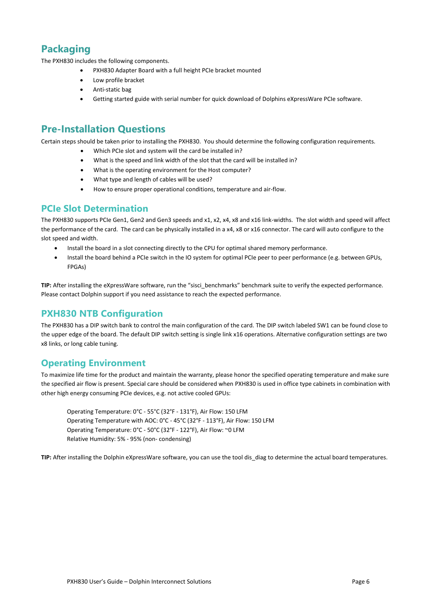# **Packaging**

The PXH830 includes the following components.

- PXH830 Adapter Board with a full height PCIe bracket mounted
- Low profile bracket
- Anti-static bag
- Getting started guide with serial number for quick download of Dolphins eXpressWare PCIe software.

# **Pre-Installation Questions**

Certain steps should be taken prior to installing the PXH830. You should determine the following configuration requirements.

- Which PCIe slot and system will the card be installed in?
- What is the speed and link width of the slot that the card will be installed in?
- What is the operating environment for the Host computer?
- What type and length of cables will be used?
- How to ensure proper operational conditions, temperature and air-flow.

## **PCIe Slot Determination**

The PXH830 supports PCIe Gen1, Gen2 and Gen3 speeds and x1, x2, x4, x8 and x16 link-widths. The slot width and speed will affect the performance of the card. The card can be physically installed in a x4, x8 or x16 connector. The card will auto configure to the slot speed and width.

- Install the board in a slot connecting directly to the CPU for optimal shared memory performance.
- Install the board behind a PCIe switch in the IO system for optimal PCIe peer to peer performance (e.g. between GPUs, FPGAs)

**TIP:** After installing the eXpressWare software, run the "sisci\_benchmarks" benchmark suite to verify the expected performance. Please contact Dolphin support if you need assistance to reach the expected performance.

## **PXH830 NTB Configuration**

The PXH830 has a DIP switch bank to control the main configuration of the card. The DIP switch labeled SW1 can be found close to the upper edge of the board. The default DIP switch setting is single link x16 operations. Alternative configuration settings are two x8 links, or long cable tuning.

## **Operating Environment**

To maximize life time for the product and maintain the warranty, please honor the specified operating temperature and make sure the specified air flow is present. Special care should be considered when PXH830 is used in office type cabinets in combination with other high energy consuming PCIe devices, e.g. not active cooled GPUs:

Operating Temperature: 0°C - 55°C (32°F - 131°F), Air Flow: 150 LFM Operating Temperature with AOC: 0°C - 45°C (32°F - 113°F), Air Flow: 150 LFM Operating Temperature: 0°C - 50°C (32°F - 122°F), Air Flow: ~0 LFM Relative Humidity: 5% - 95% (non- condensing)

**TIP:** After installing the Dolphin eXpressWare software, you can use the tool dis\_diag to determine the actual board temperatures.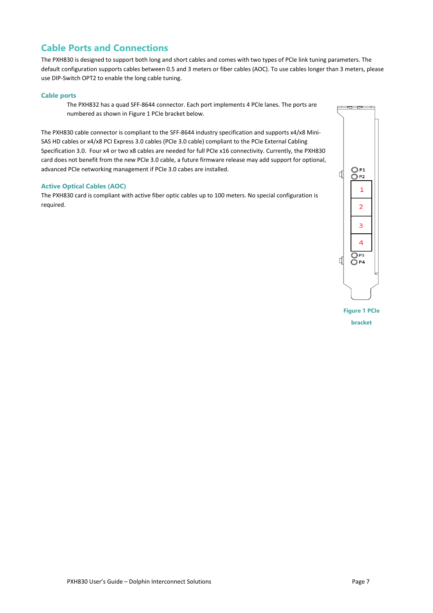# **Cable Ports and Connections**

The PXH830 is designed to support both long and short cables and comes with two types of PCIe link tuning parameters. The default configuration supports cables between 0.5 and 3 meters or fiber cables (AOC). To use cables longer than 3 meters, please use DIP-Switch OPT2 to enable the long cable tuning.

### **Cable ports**

The PXH832 has a quad SFF-8644 connector. Each port implements 4 PCIe lanes. The ports are numbered as shown in Figure 1 [PCIe bracket](#page-6-0) below.

The PXH830 cable connector is compliant to the SFF-8644 industry specification and supports x4/x8 Mini-SAS HD cables or x4/x8 PCI Express 3.0 cables (PCIe 3.0 cable) compliant to the PCIe External Cabling Specification 3.0. Four x4 or two x8 cables are needed for full PCIe x16 connectivity. Currently, the PXH830 card does not benefit from the new PCIe 3.0 cable, a future firmware release may add support for optional, advanced PCIe networking management if PCIe 3.0 cabes are installed.

### **Active Optical Cables (AOC)**

The PXH830 card is compliant with active fiber optic cables up to 100 meters. No special configuration is required.



<span id="page-6-0"></span>**Figure 1 PCIe bracket**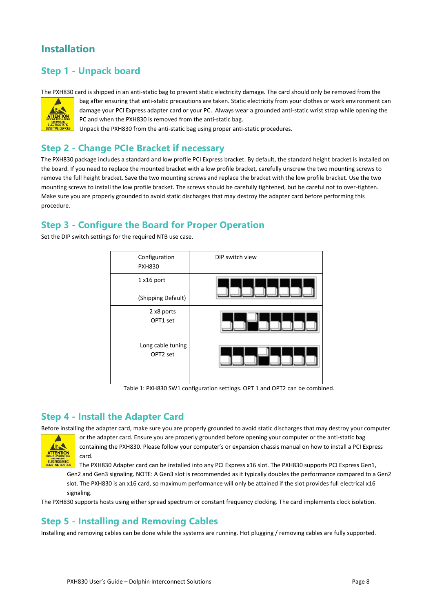# **Installation**

# **Step 1 - Unpack board**

The PXH830 card is shipped in an anti-static bag to prevent static electricity damage. The card should only be removed from the



bag after ensuring that anti-static precautions are taken. Static electricity from your clothes or work environment can damage your PCI Express adapter card or your PC. Always wear a grounded anti-static wrist strap while opening the PC and when the PXH830 is removed from the anti-static bag.

Unpack the PXH830 from the anti-static bag using proper anti-static procedures.

# **Step 2 - Change PCIe Bracket if necessary**

The PXH830 package includes a standard and low profile PCI Express bracket. By default, the standard height bracket is installed on the board. If you need to replace the mounted bracket with a low profile bracket, carefully unscrew the two mounting screws to remove the full height bracket. Save the two mounting screws and replace the bracket with the low profile bracket. Use the two mounting screws to install the low profile bracket. The screws should be carefully tightened, but be careful not to over-tighten. Make sure you are properly grounded to avoid static discharges that may destroy the adapter card before performing this procedure.

# **Step 3 - Configure the Board for Proper Operation**

Set the DIP switch settings for the required NTB use case.



Table 1: PXH830 SW1 configuration settings. OPT 1 and OPT2 can be combined.

## **Step 4 - Install the Adapter Card**

Before installing the adapter card, make sure you are properly grounded to avoid static discharges that may destroy your computer



or the adapter card. Ensure you are properly grounded before opening your computer or the anti-static bag containing the PXH830. Please follow your computer's or expansion chassis manual on how to install a PCI Express card.

The PXH830 Adapter card can be installed into any PCI Express x16 slot. The PXH830 supports PCI Express Gen1, Gen2 and Gen3 signaling. NOTE: A Gen3 slot is recommended as it typically doubles the performance compared to a Gen2 slot. The PXH830 is an x16 card, so maximum performance will only be attained if the slot provides full electrical x16 signaling.

The PXH830 supports hosts using either spread spectrum or constant frequency clocking. The card implements clock isolation.

## **Step 5 - Installing and Removing Cables**

Installing and removing cables can be done while the systems are running. Hot plugging / removing cables are fully supported.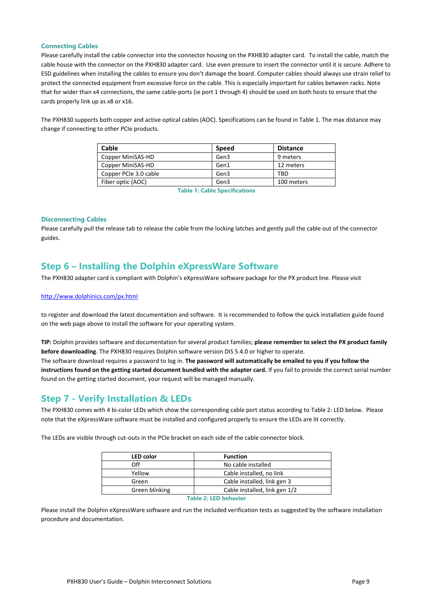#### **Connecting Cables**

Please carefully install the cable connector into the connector housing on the PXH830 adapter card. To install the cable, match the cable house with the connector on the PXH830 adapter card. Use even pressure to insert the connector until it is secure. Adhere to ESD guidelines when installing the cables to ensure you don't damage the board. Computer cables should always use strain relief to protect the connected equipment from excessive force on the cable. This is especially important for cables between racks. Note that for wider than x4 connections, the same cable-ports (ie port 1 through 4) should be used on both hosts to ensure that the cards properly link up as x8 or x16.

The PXH830 supports both copper and active optical cables (AOC). Specifications can be found in [Table 1.](#page-8-0) The max distance may change if connecting to other PCIe products.

| Cable                 | Speed | <b>Distance</b> |
|-----------------------|-------|-----------------|
| Copper MiniSAS-HD     | Gen3  | 9 meters        |
| Copper MiniSAS-HD     | Gen1  | 12 meters       |
| Copper PCIe 3.0 cable | Gen3  | TRD             |
| Fiber optic (AOC)     | Gen3  | 100 meters      |

**Table 1: Cable Specifications**

#### <span id="page-8-0"></span>**Disconnecting Cables**

Please carefully pull the release tab to release the cable from the locking latches and gently pull the cable out of the connector guides.

# **Step 6 – Installing the Dolphin eXpressWare Software**

The PXH830 adapter card is compliant with Dolphin's eXpressWare software package for the PX product line. Please visit

#### <http://www.dolphinics.com/px.html>

to register and download the latest documentation and software. It is recommended to follow the quick installation guide found on the web page above to install the software for your operating system.

**TIP:** Dolphin provides software and documentation for several product families; **please remember to select the PX product family before downloading**. The PXH830 requires Dolphin software version DIS 5.4.0 or higher to operate.

The software download requires a password to log in. **The password will automatically be emailed to you if you follow the instructions found on the getting started document bundled with the adapter card.** If you fail to provide the correct serial number found on the getting started document, your request will be managed manually.

### **Step 7 - Verify Installation & LEDs**

The PXH830 comes with 4 bi-color LEDs which show the corresponding cable port status according to [Table 2: LED b](#page-8-1)elow. Please note that the eXpressWare software must be installed and configured properly to ensure the LEDs are lit correctly.

The LEDs are visible through cut-outs in the PCIe bracket on each side of the cable connector block.

| <b>LED</b> color      | <b>Function</b>               |  |  |  |
|-----------------------|-------------------------------|--|--|--|
| Off                   | No cable installed            |  |  |  |
| Yellow                | Cable installed, no link      |  |  |  |
| Green                 | Cable installed, link gen 3   |  |  |  |
| Green blinking        | Cable installed, link gen 1/2 |  |  |  |
| Table 2: LED behavior |                               |  |  |  |

<span id="page-8-1"></span>Please install the Dolphin eXpressWare software and run the included verification tests as suggested by the software installation procedure and documentation.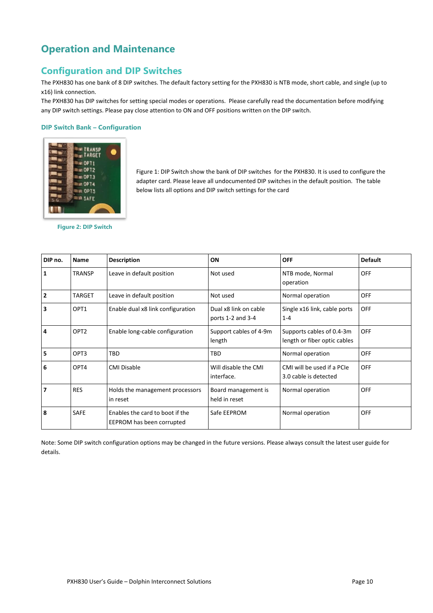# **Operation and Maintenance**

# **Configuration and DIP Switches**

The PXH830 has one bank of 8 DIP switches. The default factory setting for the PXH830 is NTB mode, short cable, and single (up to x16) link connection.

The PXH830 has DIP switches for setting special modes or operations. Please carefully read the documentation before modifying any DIP switch settings. Please pay close attention to ON and OFF positions written on the DIP switch.

### **DIP Switch Bank – Configuration**



[Figure 1: DIP Switch](#page-9-0) show the bank of DIP switches for the PXH830. It is used to configure the adapter card. Please leave all undocumented DIP switches in the default position. The table below lists all options and DIP switch settings for the card

<span id="page-9-0"></span>**Figure 2: DIP Switch**

| DIP no. | <b>Name</b>                                                                                        | <b>Description</b>                                           | ON                                                       | <b>OFF</b>                                                | <b>Default</b> |
|---------|----------------------------------------------------------------------------------------------------|--------------------------------------------------------------|----------------------------------------------------------|-----------------------------------------------------------|----------------|
| 1       | <b>TRANSP</b>                                                                                      | Leave in default position                                    | Not used                                                 | NTB mode, Normal<br>operation                             | <b>OFF</b>     |
| 2       | <b>TARGET</b>                                                                                      | Leave in default position                                    | Not used                                                 | Normal operation                                          | <b>OFF</b>     |
| 3       | OPT1<br>Enable dual x8 link configuration<br>Dual x8 link on cable<br>ports 1-2 and 3-4<br>$1 - 4$ |                                                              | Single x16 link, cable ports                             | <b>OFF</b>                                                |                |
| 4       | OPT <sub>2</sub>                                                                                   | Enable long-cable configuration                              | Support cables of 4-9m<br>length                         | Supports cables of 0.4-3m<br>length or fiber optic cables | <b>OFF</b>     |
| 5       | OPT3                                                                                               | TBD                                                          | TBD                                                      | Normal operation                                          | <b>OFF</b>     |
| 6       | OPT4                                                                                               | <b>CMI Disable</b>                                           | Will disable the CMI<br>interface.                       | CMI will be used if a PCIe<br>3.0 cable is detected       | <b>OFF</b>     |
| 7       | <b>RES</b>                                                                                         | Holds the management processors<br>in reset                  | Board management is<br>Normal operation<br>held in reset |                                                           | <b>OFF</b>     |
| 8       | <b>SAFE</b>                                                                                        | Enables the card to boot if the<br>EEPROM has been corrupted | Safe EEPROM                                              | Normal operation                                          | <b>OFF</b>     |

Note: Some DIP switch configuration options may be changed in the future versions. Please always consult the latest user guide for details.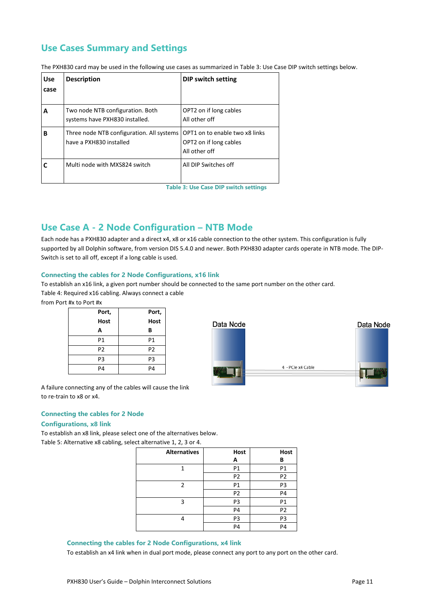# **Use Cases Summary and Settings**

The PXH830 card may be used in the following use cases as summarized i[n Table 3: Use Case DIP switch settings](#page-10-0) below.

| <b>Use</b> | <b>Description</b>                                                   | DIP switch setting                                                        |
|------------|----------------------------------------------------------------------|---------------------------------------------------------------------------|
| case       |                                                                      |                                                                           |
| A          | Two node NTB configuration. Both<br>systems have PXH830 installed.   | OPT2 on if long cables<br>All other off                                   |
| в          | Three node NTB configuration. All systems<br>have a PXH830 installed | OPT1 on to enable two x8 links<br>OPT2 on if long cables<br>All other off |
|            | Multi node with MXS824 switch                                        | All DIP Switches off                                                      |

**Table 3: Use Case DIP switch settings**

# <span id="page-10-0"></span>**Use Case A - 2 Node Configuration – NTB Mode**

Each node has a PXH830 adapter and a direct x4, x8 or x16 cable connection to the other system. This configuration is fully supported by all Dolphin software, from version DIS 5.4.0 and newer. Both PXH830 adapter cards operate in NTB mode. The DIP-Switch is set to all off, except if a long cable is used.

### **Connecting the cables for 2 Node Configurations, x16 link**

To establish an x16 link, a given port number should be connected to the same port number on the other card. Table 4: Required x16 cabling. Always connect a cable

from Port #x to Port #x

| Port,          | Port,          |
|----------------|----------------|
| <b>Host</b>    | Host           |
| А              | В              |
| P1             | P1             |
| P <sub>2</sub> | P <sub>2</sub> |
| P <sub>3</sub> | P <sub>3</sub> |
| P4             | P4             |



A failure connecting any of the cables will cause the link to re-train to x8 or x4.

#### **Connecting the cables for 2 Node**

#### **Configurations, x8 link**

To establish an x8 link, please select one of the alternatives below. Table 5: Alternative x8 cabling, select alternative 1, 2, 3 or 4.

| <b>Alternatives</b> | Host           | Host           |
|---------------------|----------------|----------------|
|                     | А              | В              |
|                     | P1             | P1             |
|                     | P <sub>2</sub> | P2             |
| 2                   | P1             | P3             |
|                     | P <sub>2</sub> | P4             |
| 3                   | P3             | P1             |
|                     | P <sub>4</sub> | P <sub>2</sub> |
| 4                   | P3             | P3             |
|                     | P <sub>4</sub> | P4             |

#### **Connecting the cables for 2 Node Configurations, x4 link**

To establish an x4 link when in dual port mode, please connect any port to any port on the other card.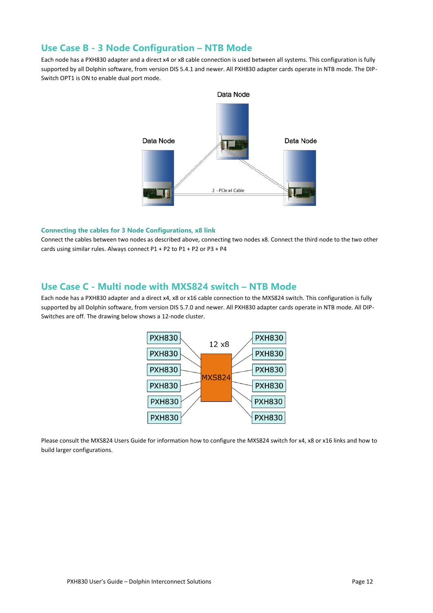### **Use Case B - 3 Node Configuration – NTB Mode**

Each node has a PXH830 adapter and a direct x4 or x8 cable connection is used between all systems. This configuration is fully supported by all Dolphin software, from version DIS 5.4.1 and newer. All PXH830 adapter cards operate in NTB mode. The DIP-Switch OPT1 is ON to enable dual port mode.



#### **Connecting the cables for 3 Node Configurations, x8 link**

Connect the cables between two nodes as described above, connecting two nodes x8. Connect the third node to the two other cards using similar rules. Always connect P1 + P2 to P1 + P2 or P3 + P4

### **Use Case C - Multi node with MXS824 switch – NTB Mode**

Each node has a PXH830 adapter and a direct x4, x8 or x16 cable connection to the MXS824 switch. This configuration is fully supported by all Dolphin software, from version DIS 5.7.0 and newer. All PXH830 adapter cards operate in NTB mode. All DIP-Switches are off. The drawing below shows a 12-node cluster.



Please consult the MXS824 Users Guide for information how to configure the MXS824 switch for x4, x8 or x16 links and how to build larger configurations.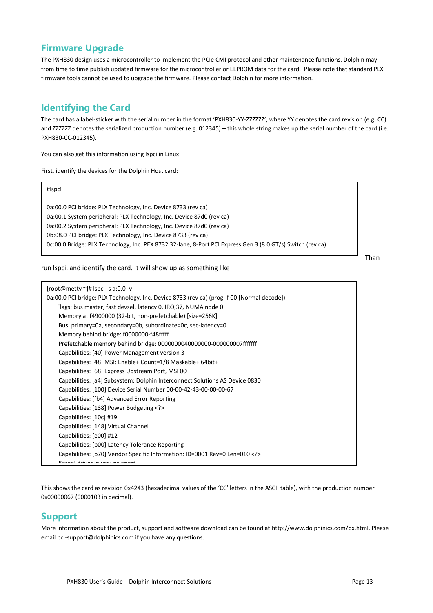# **Firmware Upgrade**

The PXH830 design uses a microcontroller to implement the PCIe CMI protocol and other maintenance functions. Dolphin may from time to time publish updated firmware for the microcontroller or EEPROM data for the card. Please note that standard PLX firmware tools cannot be used to upgrade the firmware. Please contact Dolphin for more information.

# **Identifying the Card**

The card has a label-sticker with the serial number in the format 'PXH830-YY-ZZZZZZ', where YY denotes the card revision (e.g. CC) and ZZZZZZ denotes the serialized production number (e.g. 012345) – this whole string makes up the serial number of the card (i.e. PXH830-CC-012345).

You can also get this information using lspci in Linux:

First, identify the devices for the Dolphin Host card:

| #Ispci                                                                                                                                                                                                                                              |  |
|-----------------------------------------------------------------------------------------------------------------------------------------------------------------------------------------------------------------------------------------------------|--|
| 0a:00.0 PCI bridge: PLX Technology, Inc. Device 8733 (rev ca)<br>0a:00.1 System peripheral: PLX Technology, Inc. Device 87d0 (rev ca)                                                                                                               |  |
| 0a:00.2 System peripheral: PLX Technology, Inc. Device 87d0 (rev ca)<br>0b:08.0 PCI bridge: PLX Technology, Inc. Device 8733 (rev ca)<br>0c:00.0 Bridge: PLX Technology, Inc. PEX 8732 32-lane, 8-Port PCI Express Gen 3 (8.0 GT/s) Switch (rev ca) |  |

run lspci, and identify the card. It will show up as something like

Than

| $[root@metry \n~]$ # Ispci -s a:0.0 -v                                                     |
|--------------------------------------------------------------------------------------------|
| 0a:00.0 PCI bridge: PLX Technology, Inc. Device 8733 (rev ca) (prog-if 00 [Normal decode]) |
| Flags: bus master, fast devsel, latency 0, IRQ 37, NUMA node 0                             |
| Memory at f4900000 (32-bit, non-prefetchable) [size=256K]                                  |
| Bus: primary=0a, secondary=0b, subordinate=0c, sec-latency=0                               |
| Memory behind bridge: f0000000-f48fffff                                                    |
| Prefetchable memory behind bridge: 0000000040000000-0000000007fffffff                      |
| Capabilities: [40] Power Management version 3                                              |
| Capabilities: [48] MSI: Enable+ Count=1/8 Maskable+ 64bit+                                 |
| Capabilities: [68] Express Upstream Port, MSI 00                                           |
| Capabilities: [a4] Subsystem: Dolphin Interconnect Solutions AS Device 0830                |
| Capabilities: [100] Device Serial Number 00-00-42-43-00-00-00-67                           |
| Capabilities: [fb4] Advanced Error Reporting                                               |
| Capabilities: [138] Power Budgeting                                                        |
| Capabilities: [10c] #19                                                                    |
| Capabilities: [148] Virtual Channel                                                        |
| Capabilities: [e00] #12                                                                    |
| Capabilities: [b00] Latency Tolerance Reporting                                            |
| Capabilities: [b70] Vendor Specific Information: ID=0001 Rev=0 Len=010                     |
| Varnal drivar in ucar naianart                                                             |

This shows the card as revision 0x4243 (hexadecimal values of the 'CC' letters in the ASCII table), with the production number 0x00000067 (0000103 in decimal).

## **Support**

More information about the product, support and software download can be found at<http://www.dolphinics.com/>px.html. Please email [pci-support@dolphinics.com](mailto:pci-support@dolphinics.com?subject=PXH830%20question) if you have any questions.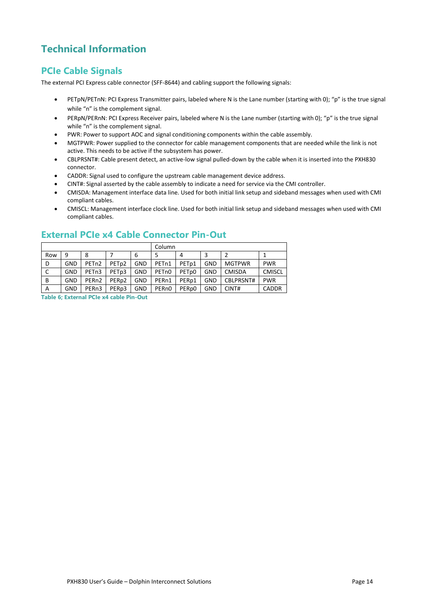# **Technical Information**

# **PCIe Cable Signals**

The external PCI Express cable connector (SFF-8644) and cabling support the following signals:

- PETpN/PETnN: PCI Express Transmitter pairs, labeled where N is the Lane number (starting with 0); "p" is the true signal while "n" is the complement signal.
- PERpN/PERnN: PCI Express Receiver pairs, labeled where N is the Lane number (starting with 0); "p" is the true signal while "n" is the complement signal.
- PWR: Power to support AOC and signal conditioning components within the cable assembly.
- MGTPWR: Power supplied to the connector for cable management components that are needed while the link is not active. This needs to be active if the subsystem has power.
- CBLPRSNT#: Cable present detect, an active-low signal pulled-down by the cable when it is inserted into the PXH830 connector.
- CADDR: Signal used to configure the upstream cable management device address.
- CINT#: Signal asserted by the cable assembly to indicate a need for service via the CMI controller.
- CMISDA: Management interface data line. Used for both initial link setup and sideband messages when used with CMI compliant cables.
- CMISCL: Management interface clock line. Used for both initial link setup and sideband messages when used with CMI compliant cables.

|     |            |                    |                   |            | Column             |                   |     |               |               |
|-----|------------|--------------------|-------------------|------------|--------------------|-------------------|-----|---------------|---------------|
| Row | 9          | 8                  |                   | 6          |                    | 4                 | 3   |               |               |
| D   | GND        | PET <sub>n2</sub>  | PET <sub>p2</sub> | GND        | PET <sub>n1</sub>  | PET <sub>p1</sub> | GND | <b>MGTPWR</b> | <b>PWR</b>    |
| C   | <b>GND</b> | PET <sub>n3</sub>  | PET <sub>p3</sub> | <b>GND</b> | PET <sub>n0</sub>  | PET <sub>p0</sub> | GND | <b>CMISDA</b> | <b>CMISCL</b> |
| В   | <b>GND</b> | PER <sub>n2</sub>  | PER <sub>p2</sub> | <b>GND</b> | PER <sub>n1</sub>  | PER <sub>p1</sub> | GND | CBLPRSNT#     | <b>PWR</b>    |
| A   | <b>GND</b> | PER <sub>n</sub> 3 | PER <sub>p3</sub> | <b>GND</b> | PER <sub>n</sub> O | PER <sub>p0</sub> | GND | CINT#         | <b>CADDR</b>  |

## **External PCIe x4 Cable Connector Pin-Out**

**Table 6; External PCIe x4 cable Pin-Out**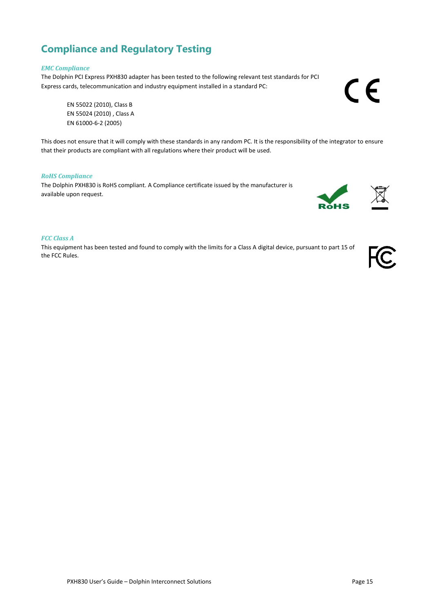# **Compliance and Regulatory Testing**

#### *EMC Compliance*

The Dolphin PCI Express PXH830 adapter has been tested to the following relevant test standards for PCI Express cards, telecommunication and industry equipment installed in a standard PC:

EN 55022 (2010), Class B EN 55024 (2010) , Class A EN 61000-6-2 (2005)

This does not ensure that it will comply with these standards in any random PC. It is the responsibility of the integrator to ensure that their products are compliant with all regulations where their product will be used.

### *RoHS Compliance*

The Dolphin PXH830 is RoHS compliant. A Compliance certificate issued by the manufacturer is available upon request.

#### *FCC Class A*

This equipment has been tested and found to comply with the limits for a Class A digital device, pursuant to part 15 of the FCC Rules.